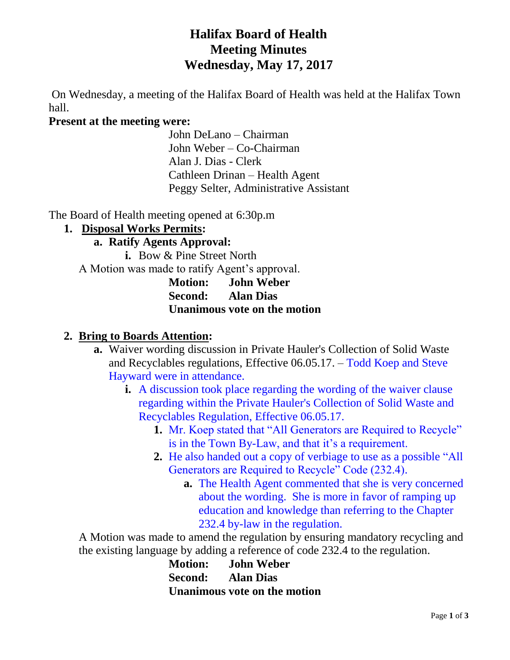# **Halifax Board of Health Meeting Minutes Wednesday, May 17, 2017**

On Wednesday, a meeting of the Halifax Board of Health was held at the Halifax Town hall.

#### **Present at the meeting were:**

John DeLano – Chairman John Weber – Co-Chairman Alan J. Dias - Clerk Cathleen Drinan – Health Agent Peggy Selter, Administrative Assistant

The Board of Health meeting opened at 6:30p.m

#### **1. Disposal Works Permits:**

#### **a. Ratify Agents Approval:**

**i.** Bow & Pine Street North A Motion was made to ratify Agent's approval.

**Motion: John Weber Second: Alan Dias Unanimous vote on the motion**

#### **2. Bring to Boards Attention:**

- **a.** Waiver wording discussion in Private Hauler's Collection of Solid Waste and Recyclables regulations, Effective 06.05.17. – Todd Koep and Steve Hayward were in attendance.
	- **i.** A discussion took place regarding the wording of the waiver clause regarding within the Private Hauler's Collection of Solid Waste and Recyclables Regulation, Effective 06.05.17.
		- **1.** Mr. Koep stated that "All Generators are Required to Recycle" is in the Town By-Law, and that it's a requirement.
		- **2.** He also handed out a copy of verbiage to use as a possible "All Generators are Required to Recycle" Code (232.4).
			- **a.** The Health Agent commented that she is very concerned about the wording. She is more in favor of ramping up education and knowledge than referring to the Chapter 232.4 by-law in the regulation.

A Motion was made to amend the regulation by ensuring mandatory recycling and the existing language by adding a reference of code 232.4 to the regulation.

> **Motion: John Weber Second: Alan Dias Unanimous vote on the motion**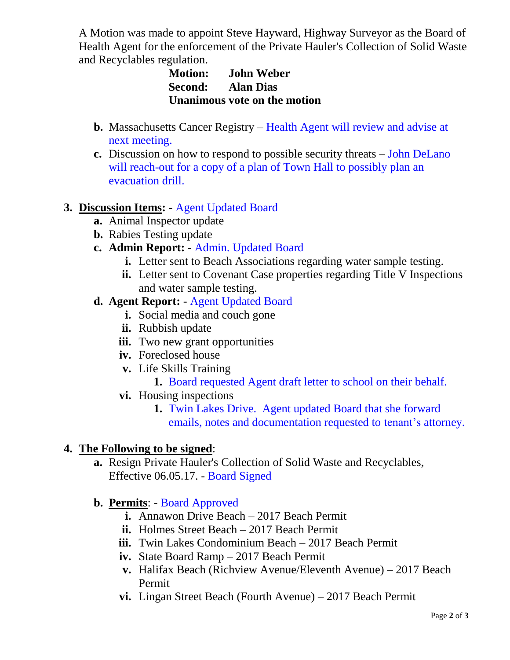A Motion was made to appoint Steve Hayward, Highway Surveyor as the Board of Health Agent for the enforcement of the Private Hauler's Collection of Solid Waste and Recyclables regulation.

# **Motion: John Weber Second: Alan Dias Unanimous vote on the motion**

- **b.** Massachusetts Cancer Registry Health Agent will review and advise at next meeting.
- **c.** Discussion on how to respond to possible security threats John DeLano will reach-out for a copy of a plan of Town Hall to possibly plan an evacuation drill.

# **3. Discussion Items:** - Agent Updated Board

- **a.** Animal Inspector update
- **b.** Rabies Testing update

# **c. Admin Report:** - Admin. Updated Board

- **i.** Letter sent to Beach Associations regarding water sample testing.
- **ii.** Letter sent to Covenant Case properties regarding Title V Inspections and water sample testing.

#### **d. Agent Report:** - Agent Updated Board

- **i.** Social media and couch gone
- **ii.** Rubbish update
- **iii.** Two new grant opportunities
- **iv.** Foreclosed house
- **v.** Life Skills Training
	- **1.** Board requested Agent draft letter to school on their behalf.
- **vi.** Housing inspections
	- **1.** Twin Lakes Drive. Agent updated Board that she forward emails, notes and documentation requested to tenant's attorney.

# **4. The Following to be signed**:

**a.** Resign Private Hauler's Collection of Solid Waste and Recyclables, Effective 06.05.17. - Board Signed

# **b. Permits**: - Board Approved

- **i.** Annawon Drive Beach 2017 Beach Permit
- **ii.** Holmes Street Beach 2017 Beach Permit
- **iii.** Twin Lakes Condominium Beach 2017 Beach Permit
- **iv.** State Board Ramp 2017 Beach Permit
- **v.** Halifax Beach (Richview Avenue/Eleventh Avenue) 2017 Beach Permit
- **vi.** Lingan Street Beach (Fourth Avenue) 2017 Beach Permit